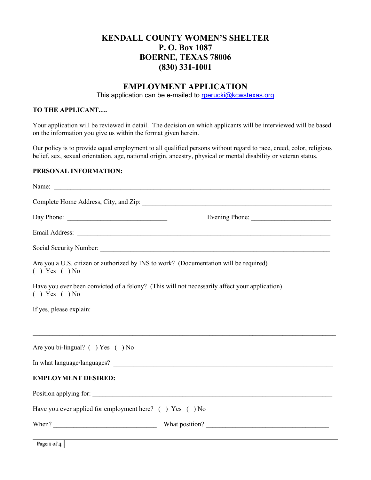# **KENDALL COUNTY WOMEN'S SHELTER P. O. Box 1087 BOERNE, TEXAS 78006 (830) 331-1001**

## **EMPLOYMENT APPLICATION**

This application can be e-mailed to rperucki@kcwstexas.org

### **TO THE APPLICANT….**

Your application will be reviewed in detail. The decision on which applicants will be interviewed will be based on the information you give us within the format given herein.

Our policy is to provide equal employment to all qualified persons without regard to race, creed, color, religious belief, sex, sexual orientation, age, national origin, ancestry, physical or mental disability or veteran status.

#### **PERSONAL INFORMATION:**

| Day Phone: $\frac{1}{\sqrt{1-\frac{1}{2}}}\left[\frac{1}{2}\right]$                                         | Evening Phone:                                                                                                                                                         |
|-------------------------------------------------------------------------------------------------------------|------------------------------------------------------------------------------------------------------------------------------------------------------------------------|
|                                                                                                             |                                                                                                                                                                        |
|                                                                                                             |                                                                                                                                                                        |
| Are you a U.S. citizen or authorized by INS to work? (Documentation will be required)<br>$( )$ Yes $( )$ No |                                                                                                                                                                        |
| $( )$ Yes $( )$ No                                                                                          | Have you ever been convicted of a felony? (This will not necessarily affect your application)                                                                          |
| If yes, please explain:                                                                                     |                                                                                                                                                                        |
|                                                                                                             | ,我们也不能在这里的人,我们也不能在这里的人,我们也不能在这里的人,我们也不能在这里的人,我们也不能在这里的人,我们也不能在这里的人,我们也不能在这里的人,我们也<br>,我们也不能在这里的人,我们也不能在这里的人,我们也不能在这里的人,我们也不能在这里的人,我们也不能在这里的人,我们也不能在这里的人,我们也不能在这里的人,我们也 |
| Are you bi-lingual? () Yes () No                                                                            |                                                                                                                                                                        |
|                                                                                                             |                                                                                                                                                                        |
| <b>EMPLOYMENT DESIRED:</b>                                                                                  |                                                                                                                                                                        |
|                                                                                                             |                                                                                                                                                                        |
| Have you ever applied for employment here? () Yes () No                                                     |                                                                                                                                                                        |
|                                                                                                             |                                                                                                                                                                        |

Page **1** of **4**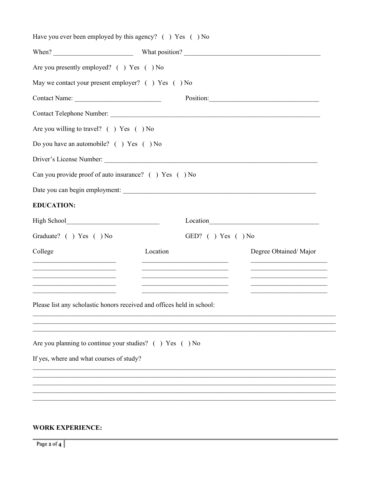| Are you presently employed? () Yes () No                                                                              |          |                     |                       |
|-----------------------------------------------------------------------------------------------------------------------|----------|---------------------|-----------------------|
| May we contact your present employer? () Yes () No                                                                    |          |                     |                       |
|                                                                                                                       |          |                     | Position:             |
|                                                                                                                       |          |                     |                       |
| Are you willing to travel? () Yes () No                                                                               |          |                     |                       |
| Do you have an automobile? () Yes () No                                                                               |          |                     |                       |
|                                                                                                                       |          |                     |                       |
| Can you provide proof of auto insurance? () Yes () No                                                                 |          |                     |                       |
|                                                                                                                       |          |                     |                       |
| <b>EDUCATION:</b>                                                                                                     |          |                     |                       |
|                                                                                                                       |          |                     |                       |
| Graduate? () Yes () No                                                                                                |          | GED? ( ) Yes ( ) No |                       |
| College                                                                                                               | Location |                     | Degree Obtained/Major |
|                                                                                                                       |          |                     |                       |
| <u> 1989 - Johann Barbara, martin amerikan basal dan berasal dalam basal dalam basal dalam basal dalam basal dala</u> |          |                     |                       |
| Please list any scholastic honors received and offices held in school:                                                |          |                     |                       |
|                                                                                                                       |          |                     |                       |
|                                                                                                                       |          |                     |                       |
| Are you planning to continue your studies? $( )$ Yes $( )$ No                                                         |          |                     |                       |
| If yes, where and what courses of study?                                                                              |          |                     |                       |
|                                                                                                                       |          |                     |                       |
|                                                                                                                       |          |                     |                       |

### **WORK EXPERIENCE:**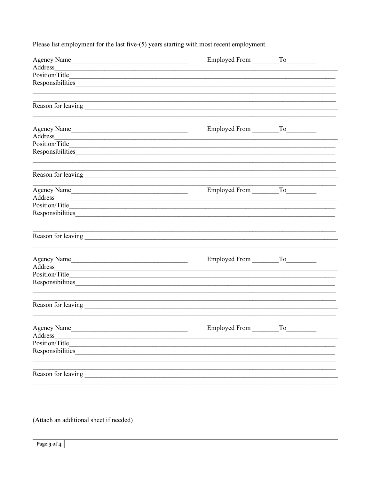Please list employment for the last five-(5) years starting with most recent employment.

| Agency Name                                                                                                                      |  |  |  |
|----------------------------------------------------------------------------------------------------------------------------------|--|--|--|
|                                                                                                                                  |  |  |  |
|                                                                                                                                  |  |  |  |
|                                                                                                                                  |  |  |  |
|                                                                                                                                  |  |  |  |
|                                                                                                                                  |  |  |  |
|                                                                                                                                  |  |  |  |
| Agency Name                                                                                                                      |  |  |  |
| Address                                                                                                                          |  |  |  |
|                                                                                                                                  |  |  |  |
|                                                                                                                                  |  |  |  |
|                                                                                                                                  |  |  |  |
|                                                                                                                                  |  |  |  |
| Agency Name                                                                                                                      |  |  |  |
| Address                                                                                                                          |  |  |  |
|                                                                                                                                  |  |  |  |
|                                                                                                                                  |  |  |  |
|                                                                                                                                  |  |  |  |
|                                                                                                                                  |  |  |  |
|                                                                                                                                  |  |  |  |
| Agency Name<br>Address                                                                                                           |  |  |  |
|                                                                                                                                  |  |  |  |
|                                                                                                                                  |  |  |  |
|                                                                                                                                  |  |  |  |
|                                                                                                                                  |  |  |  |
|                                                                                                                                  |  |  |  |
| Agency Name                                                                                                                      |  |  |  |
| Address<br><u> 1989 - Johann Stoff, deutscher Stoff, der Stoff, der Stoff, der Stoff, der Stoff, der Stoff, der Stoff, der S</u> |  |  |  |
|                                                                                                                                  |  |  |  |
| Responsibilities                                                                                                                 |  |  |  |
|                                                                                                                                  |  |  |  |
|                                                                                                                                  |  |  |  |

(Attach an additional sheet if needed)